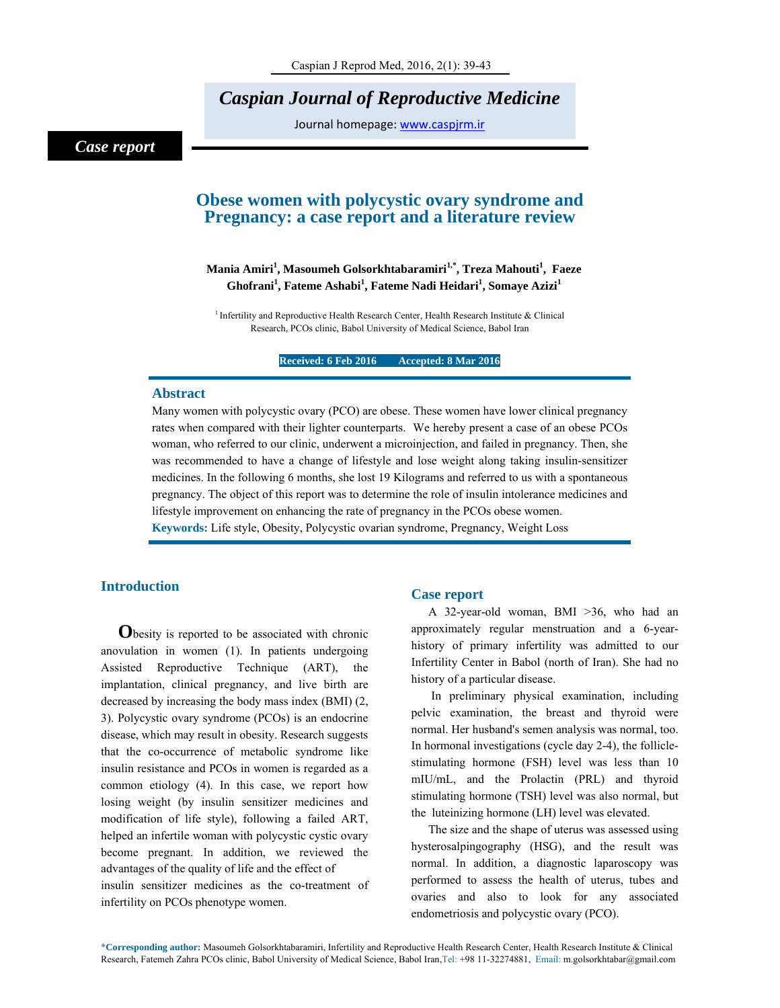*Caspian Journal of Reproductive Medicine* 

Journal homepage: www.caspjrm.ir

# *Case report*

## **Obese women with polycystic ovary syndrome and Pregnancy: a case report and a literature review**

## **Mania Amiri1 , Masoumeh Golsorkhtabaramiri1,\*, Treza Mahouti1 , Faeze**   $\mathbf{G}$ hofrani $^1$ , Fateme Ashabi $^1$ , Fateme Nadi Heidari $^1$ , Somaye Azizi $^1$

<sup>1</sup> Infertility and Reproductive Health Research Center, Health Research Institute & Clinical Research, PCOs clinic, Babol University of Medical Science, Babol Iran

**Received: 6 Feb 2016 Accepted: 8 Mar 2016** 

### **Abstract**

Many women with polycystic ovary (PCO) are obese. These women have lower clinical pregnancy rates when compared with their lighter counterparts. We hereby present a case of an obese PCOs woman, who referred to our clinic, underwent a microinjection, and failed in pregnancy. Then, she was recommended to have a change of lifestyle and lose weight along taking insulin-sensitizer medicines. In the following 6 months, she lost 19 Kilograms and referred to us with a spontaneous pregnancy. The object of this report was to determine the role of insulin intolerance medicines and lifestyle improvement on enhancing the rate of pregnancy in the PCOs obese women.

**Keywords:** Life style, Obesity, Polycystic ovarian syndrome, Pregnancy, Weight Loss

## **Introduction**

**O**besity is reported to be associated with chronic anovulation in women (1). In patients undergoing Assisted Reproductive Technique (ART), the implantation, clinical pregnancy, and live birth are decreased by increasing the body mass index (BMI) (2, 3). Polycystic ovary syndrome (PCOs) is an endocrine disease, which may result in obesity. Research suggests that the co-occurrence of metabolic syndrome like insulin resistance and PCOs in women is regarded as a common etiology (4). In this case, we report how losing weight (by insulin sensitizer medicines and modification of life style), following a failed ART, helped an infertile woman with polycystic cystic ovary become pregnant. In addition, we reviewed the advantages of the quality of life and the effect of insulin sensitizer medicines as the co-treatment of infertility on PCOs phenotype women.

## **Case report**

A 32-year-old woman, BMI >36, who had an approximately regular menstruation and a 6-yearhistory of primary infertility was admitted to our Infertility Center in Babol (north of Iran). She had no history of a particular disease.

 In preliminary physical examination, including pelvic examination, the breast and thyroid were normal. Her husband's semen analysis was normal, too. In hormonal investigations (cycle day 2-4), the folliclestimulating hormone (FSH) level was less than 10 mIU/mL, and the Prolactin (PRL) and thyroid stimulating hormone (TSH) level was also normal, but the luteinizing hormone (LH) level was elevated.

The size and the shape of uterus was assessed using hysterosalpingography (HSG), and the result was normal. In addition, a diagnostic laparoscopy was performed to assess the health of uterus, tubes and ovaries and also to look for any associated endometriosis and polycystic ovary (PCO).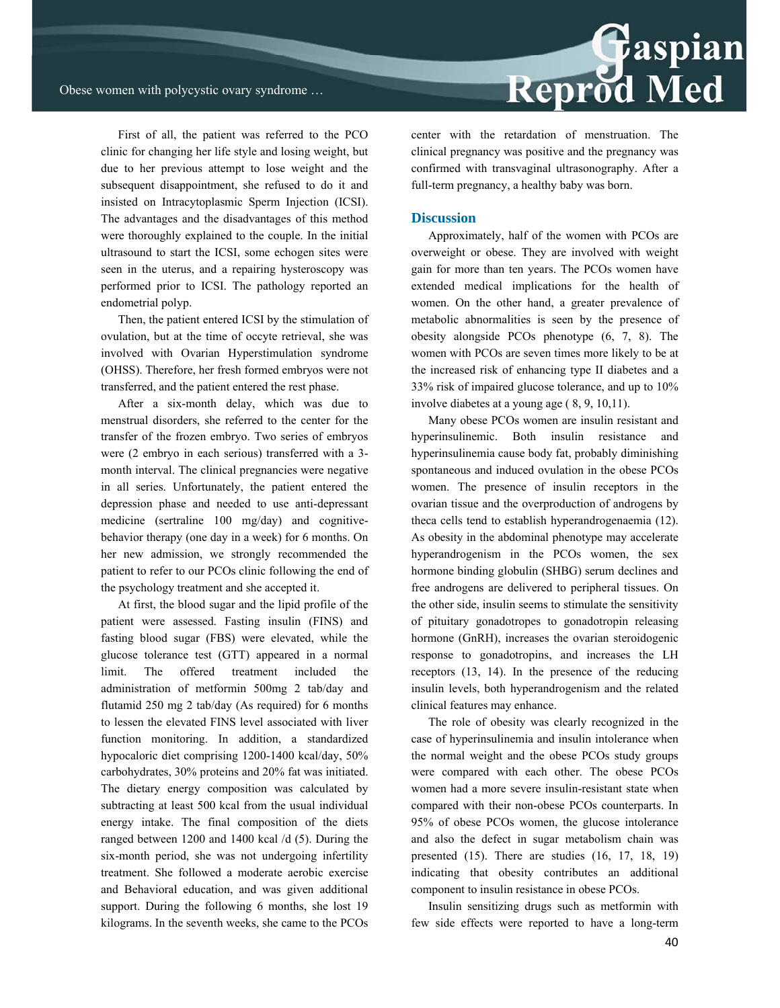First of all, the patient was referred to the PCO clinic for changing her life style and losing weight, but due to her previous attempt to lose weight and the subsequent disappointment, she refused to do it and insisted on Intracytoplasmic Sperm Injection (ICSI). The advantages and the disadvantages of this method were thoroughly explained to the couple. In the initial ultrasound to start the ICSI, some echogen sites were seen in the uterus, and a repairing hysteroscopy was performed prior to ICSI. The pathology reported an endometrial polyp.

Then, the patient entered ICSI by the stimulation of ovulation, but at the time of occyte retrieval, she was involved with Ovarian Hyperstimulation syndrome (OHSS). Therefore, her fresh formed embryos were not transferred, and the patient entered the rest phase.

After a six-month delay, which was due to menstrual disorders, she referred to the center for the transfer of the frozen embryo. Two series of embryos were (2 embryo in each serious) transferred with a 3 month interval. The clinical pregnancies were negative in all series. Unfortunately, the patient entered the depression phase and needed to use anti-depressant medicine (sertraline 100 mg/day) and cognitivebehavior therapy (one day in a week) for 6 months. On her new admission, we strongly recommended the patient to refer to our PCOs clinic following the end of the psychology treatment and she accepted it.

At first, the blood sugar and the lipid profile of the patient were assessed. Fasting insulin (FINS) and fasting blood sugar (FBS) were elevated, while the glucose tolerance test (GTT) appeared in a normal limit. The offered treatment included the administration of metformin 500mg 2 tab/day and flutamid 250 mg 2 tab/day (As required) for 6 months to lessen the elevated FINS level associated with liver function monitoring. In addition, a standardized hypocaloric diet comprising 1200-1400 kcal/day, 50% carbohydrates, 30% proteins and 20% fat was initiated. The dietary energy composition was calculated by subtracting at least 500 kcal from the usual individual energy intake. The final composition of the diets ranged between 1200 and 1400 kcal /d (5). During the six-month period, she was not undergoing infertility treatment. She followed a moderate aerobic exercise and Behavioral education, and was given additional support. During the following 6 months, she lost 19 kilograms. In the seventh weeks, she came to the PCOs

Reprod Med

center with the retardation of menstruation. The clinical pregnancy was positive and the pregnancy was confirmed with transvaginal ultrasonography. After a full-term pregnancy, a healthy baby was born.

#### **Discussion**

Approximately, half of the women with PCOs are overweight or obese. They are involved with weight gain for more than ten years. The PCOs women have extended medical implications for the health of women. On the other hand, a greater prevalence of metabolic abnormalities is seen by the presence of obesity alongside PCOs phenotype (6, 7, 8). The women with PCOs are seven times more likely to be at the increased risk of enhancing type II diabetes and a 33% risk of impaired glucose tolerance, and up to 10% involve diabetes at a young age ( 8, 9, 10,11).

Many obese PCOs women are insulin resistant and hyperinsulinemic. Both insulin resistance and hyperinsulinemia cause body fat, probably diminishing spontaneous and induced ovulation in the obese PCOs women. The presence of insulin receptors in the ovarian tissue and the overproduction of androgens by theca cells tend to establish hyperandrogenaemia (12). As obesity in the abdominal phenotype may accelerate hyperandrogenism in the PCOs women, the sex hormone binding globulin (SHBG) serum declines and free androgens are delivered to peripheral tissues. On the other side, insulin seems to stimulate the sensitivity of pituitary gonadotropes to gonadotropin releasing hormone (GnRH), increases the ovarian steroidogenic response to gonadotropins, and increases the LH receptors (13, 14). In the presence of the reducing insulin levels, both hyperandrogenism and the related clinical features may enhance.

The role of obesity was clearly recognized in the case of hyperinsulinemia and insulin intolerance when the normal weight and the obese PCOs study groups were compared with each other. The obese PCOs women had a more severe insulin-resistant state when compared with their non-obese PCOs counterparts. In 95% of obese PCOs women, the glucose intolerance and also the defect in sugar metabolism chain was presented (15). There are studies (16, 17, 18, 19) indicating that obesity contributes an additional component to insulin resistance in obese PCOs.

Insulin sensitizing drugs such as metformin with few side effects were reported to have a long-term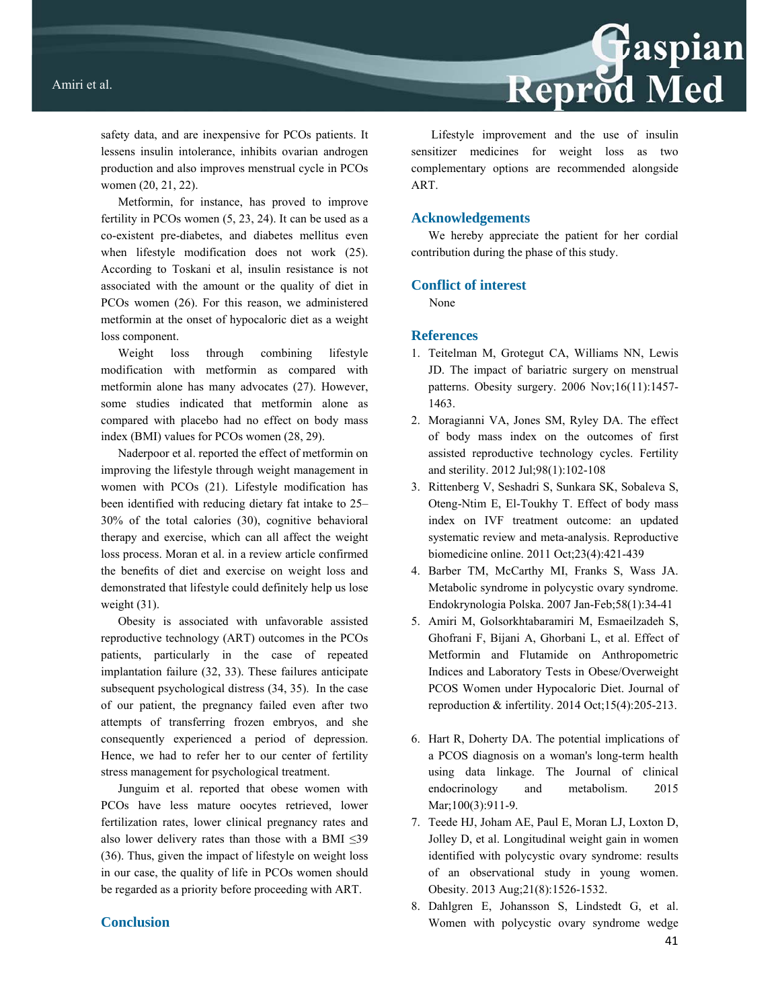safety data, and are inexpensive for PCOs patients. It lessens insulin intolerance, inhibits ovarian androgen production and also improves menstrual cycle in PCOs women (20, 21, 22).

Metformin, for instance, has proved to improve fertility in PCOs women (5, 23, 24). It can be used as a co-existent pre-diabetes, and diabetes mellitus even when lifestyle modification does not work (25). According to Toskani et al, insulin resistance is not associated with the amount or the quality of diet in PCOs women (26). For this reason, we administered metformin at the onset of hypocaloric diet as a weight loss component.

Weight loss through combining lifestyle modification with metformin as compared with metformin alone has many advocates (27). However, some studies indicated that metformin alone as compared with placebo had no effect on body mass index (BMI) values for PCOs women (28, 29).

Naderpoor et al. reported the effect of metformin on improving the lifestyle through weight management in women with PCOs (21). Lifestyle modification has been identified with reducing dietary fat intake to 25– 30% of the total calories (30), cognitive behavioral therapy and exercise, which can all affect the weight loss process. Moran et al. in a review article confirmed the benefits of diet and exercise on weight loss and demonstrated that lifestyle could definitely help us lose weight (31).

Obesity is associated with unfavorable assisted reproductive technology (ART) outcomes in the PCOs patients, particularly in the case of repeated implantation failure (32, 33). These failures anticipate subsequent psychological distress (34, 35). In the case of our patient, the pregnancy failed even after two attempts of transferring frozen embryos, and she consequently experienced a period of depression. Hence, we had to refer her to our center of fertility stress management for psychological treatment.

Junguim et al. reported that obese women with PCOs have less mature oocytes retrieved, lower fertilization rates, lower clinical pregnancy rates and also lower delivery rates than those with a BMI  $\leq$ 39 (36). Thus, given the impact of lifestyle on weight loss in our case, the quality of life in PCOs women should be regarded as a priority before proceeding with ART.

## **Conclusion**

Lifestyle improvement and the use of insulin sensitizer medicines for weight loss as two complementary options are recommended alongside ART.

Reprod Med

#### **Acknowledgements**

We hereby appreciate the patient for her cordial contribution during the phase of this study.

### **Conflict of interest**

None

## **References**

- 1. Teitelman M, Grotegut CA, Williams NN, Lewis JD. The impact of bariatric surgery on menstrual patterns. Obesity surgery. 2006 Nov;16(11):1457- 1463.
- 2. Moragianni VA, Jones SM, Ryley DA. The effect of body mass index on the outcomes of first assisted reproductive technology cycles. Fertility and sterility. 2012 Jul;98(1):102-108
- 3. Rittenberg V, Seshadri S, Sunkara SK, Sobaleva S, Oteng-Ntim E, El-Toukhy T. Effect of body mass index on IVF treatment outcome: an updated systematic review and meta-analysis. Reproductive biomedicine online. 2011 Oct;23(4):421-439
- 4. Barber TM, McCarthy MI, Franks S, Wass JA. Metabolic syndrome in polycystic ovary syndrome. Endokrynologia Polska. 2007 Jan-Feb;58(1):34-41
- 5. Amiri M, Golsorkhtabaramiri M, Esmaeilzadeh S, Ghofrani F, Bijani A, Ghorbani L, et al. Effect of Metformin and Flutamide on Anthropometric Indices and Laboratory Tests in Obese/Overweight PCOS Women under Hypocaloric Diet. Journal of reproduction  $&$  infertility. 2014 Oct; 15(4): 205-213.
- 6. Hart R, Doherty DA. The potential implications of a PCOS diagnosis on a woman's long-term health using data linkage. The Journal of clinical endocrinology and metabolism. 2015 Mar;100(3):911-9.
- 7. Teede HJ, Joham AE, Paul E, Moran LJ, Loxton D, Jolley D, et al. Longitudinal weight gain in women identified with polycystic ovary syndrome: results of an observational study in young women. Obesity. 2013 Aug;21(8):1526-1532.
- 8. Dahlgren E, Johansson S, Lindstedt G, et al. Women with polycystic ovary syndrome wedge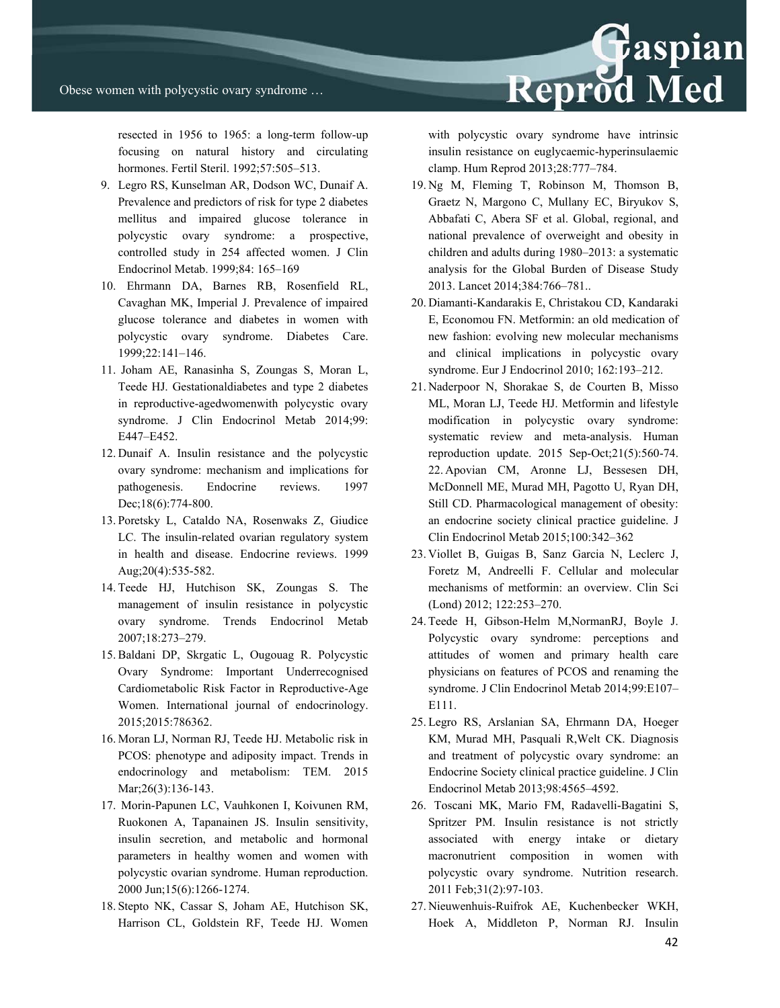resected in 1956 to 1965: a long-term follow-up focusing on natural history and circulating hormones. Fertil Steril. 1992;57:505–513.

- 9. Legro RS, Kunselman AR, Dodson WC, Dunaif A. Prevalence and predictors of risk for type 2 diabetes mellitus and impaired glucose tolerance in polycystic ovary syndrome: a prospective, controlled study in 254 affected women. J Clin Endocrinol Metab. 1999;84: 165–169
- 10. Ehrmann DA, Barnes RB, Rosenfield RL, Cavaghan MK, Imperial J. Prevalence of impaired glucose tolerance and diabetes in women with polycystic ovary syndrome. Diabetes Care. 1999;22:141–146.
- 11. Joham AE, Ranasinha S, Zoungas S, Moran L, Teede HJ. Gestationaldiabetes and type 2 diabetes in reproductive-agedwomenwith polycystic ovary syndrome. J Clin Endocrinol Metab 2014;99: E447–E452.
- 12. Dunaif A. Insulin resistance and the polycystic ovary syndrome: mechanism and implications for pathogenesis. Endocrine reviews. 1997 Dec;18(6):774-800.
- 13. Poretsky L, Cataldo NA, Rosenwaks Z, Giudice LC. The insulin-related ovarian regulatory system in health and disease. Endocrine reviews. 1999 Aug;20(4):535-582.
- 14. Teede HJ, Hutchison SK, Zoungas S. The management of insulin resistance in polycystic ovary syndrome. Trends Endocrinol Metab 2007;18:273–279.
- 15. Baldani DP, Skrgatic L, Ougouag R. Polycystic Ovary Syndrome: Important Underrecognised Cardiometabolic Risk Factor in Reproductive-Age Women. International journal of endocrinology. 2015;2015:786362.
- 16. Moran LJ, Norman RJ, Teede HJ. Metabolic risk in PCOS: phenotype and adiposity impact. Trends in endocrinology and metabolism: TEM. 2015 Mar; 26(3): 136-143.
- 17. Morin-Papunen LC, Vauhkonen I, Koivunen RM, Ruokonen A, Tapanainen JS. Insulin sensitivity, insulin secretion, and metabolic and hormonal parameters in healthy women and women with polycystic ovarian syndrome. Human reproduction. 2000 Jun;15(6):1266-1274.
- 18. Stepto NK, Cassar S, Joham AE, Hutchison SK, Harrison CL, Goldstein RF, Teede HJ. Women

with polycystic ovary syndrome have intrinsic insulin resistance on euglycaemic-hyperinsulaemic clamp. Hum Reprod 2013;28:777–784.

- 19. Ng M, Fleming T, Robinson M, Thomson B, Graetz N, Margono C, Mullany EC, Biryukov S, Abbafati C, Abera SF et al. Global, regional, and national prevalence of overweight and obesity in children and adults during 1980–2013: a systematic analysis for the Global Burden of Disease Study 2013. Lancet 2014;384:766–781..
- 20. Diamanti-Kandarakis E, Christakou CD, Kandaraki E, Economou FN. Metformin: an old medication of new fashion: evolving new molecular mechanisms and clinical implications in polycystic ovary syndrome. Eur J Endocrinol 2010; 162:193–212.
- 21. Naderpoor N, Shorakae S, de Courten B, Misso ML, Moran LJ, Teede HJ. Metformin and lifestyle modification in polycystic ovary syndrome: systematic review and meta-analysis. Human reproduction update.  $2015$  Sep-Oct; $21(5)$ :560-74. 22. Apovian CM, Aronne LJ, Bessesen DH, McDonnell ME, Murad MH, Pagotto U, Ryan DH, Still CD. Pharmacological management of obesity: an endocrine society clinical practice guideline. J Clin Endocrinol Metab 2015;100:342–362
- 23. Viollet B, Guigas B, Sanz Garcia N, Leclerc J, Foretz M, Andreelli F. Cellular and molecular mechanisms of metformin: an overview. Clin Sci (Lond) 2012; 122:253–270.
- 24. Teede H, Gibson-Helm M,NormanRJ, Boyle J. Polycystic ovary syndrome: perceptions and attitudes of women and primary health care physicians on features of PCOS and renaming the syndrome. J Clin Endocrinol Metab 2014;99:E107– E111.
- 25. Legro RS, Arslanian SA, Ehrmann DA, Hoeger KM, Murad MH, Pasquali R,Welt CK. Diagnosis and treatment of polycystic ovary syndrome: an Endocrine Society clinical practice guideline. J Clin Endocrinol Metab 2013;98:4565–4592.
- 26. Toscani MK, Mario FM, Radavelli-Bagatini S, Spritzer PM. Insulin resistance is not strictly associated with energy intake or dietary macronutrient composition in women with polycystic ovary syndrome. Nutrition research. 2011 Feb;31(2):97-103.
- 27. Nieuwenhuis-Ruifrok AE, Kuchenbecker WKH, Hoek A, Middleton P, Norman RJ. Insulin